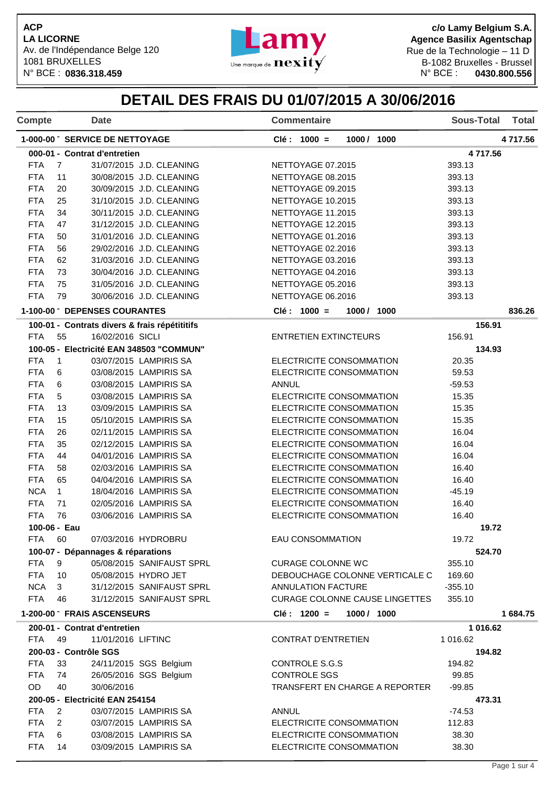

**c/o Lamy Belgium S.A. Agence Basilix Agentschap** Rue de la Technologie – 11 D B-1082 Bruxelles - Brussel<br>N° BCE : 0430.800.556 1081 BRUXELLES<br>N° BCE : 0836.318.459 **Martin 1998** Une marque de  $\mathbf{nexity}$  B-1082 Bruxelles - Brussel

## **DETAIL DES FRAIS DU 01/07/2015 A 30/06/2016**

| Compte                                                                                                  |                | <b>Date</b>                                   | <b>Commentaire</b>                    | <b>Sous-Total</b><br><b>Total</b> |  |  |
|---------------------------------------------------------------------------------------------------------|----------------|-----------------------------------------------|---------------------------------------|-----------------------------------|--|--|
| 1-000-00 SERVICE DE NETTOYAGE                                                                           |                |                                               | Clé : 1000 =<br>1000 / 1000           | 4 717.56                          |  |  |
|                                                                                                         |                | 000-01 - Contrat d'entretien                  |                                       | 4717.56                           |  |  |
| <b>FTA</b>                                                                                              | $\overline{7}$ | 31/07/2015 J.D. CLEANING                      | NETTOYAGE 07.2015                     | 393.13                            |  |  |
| <b>FTA</b>                                                                                              | 11             | 30/08/2015 J.D. CLEANING                      | NETTOYAGE 08.2015                     | 393.13                            |  |  |
| <b>FTA</b>                                                                                              | 20             | 30/09/2015 J.D. CLEANING                      | NETTOYAGE 09.2015                     | 393.13                            |  |  |
| <b>FTA</b>                                                                                              | 25             | 31/10/2015 J.D. CLEANING                      | NETTOYAGE 10.2015                     | 393.13                            |  |  |
| <b>FTA</b>                                                                                              | 34             | 30/11/2015 J.D. CLEANING                      | NETTOYAGE 11.2015                     | 393.13                            |  |  |
| <b>FTA</b>                                                                                              | 47             | 31/12/2015 J.D. CLEANING                      | NETTOYAGE 12.2015                     | 393.13                            |  |  |
| <b>FTA</b>                                                                                              | 50             | 31/01/2016 J.D. CLEANING                      | NETTOYAGE 01.2016                     | 393.13                            |  |  |
| <b>FTA</b>                                                                                              | 56             | 29/02/2016 J.D. CLEANING                      | NETTOYAGE 02.2016                     | 393.13                            |  |  |
| <b>FTA</b>                                                                                              | 62             | 31/03/2016 J.D. CLEANING                      | NETTOYAGE 03.2016                     | 393.13                            |  |  |
| <b>FTA</b>                                                                                              | 73             | 30/04/2016 J.D. CLEANING                      | NETTOYAGE 04.2016                     | 393.13                            |  |  |
| <b>FTA</b>                                                                                              | 75             | 31/05/2016 J.D. CLEANING                      | NETTOYAGE 05.2016                     | 393.13                            |  |  |
| <b>FTA</b>                                                                                              | 79             | 30/06/2016 J.D. CLEANING                      | NETTOYAGE 06.2016                     | 393.13                            |  |  |
|                                                                                                         |                | 1-100-00 DEPENSES COURANTES                   | $Clé: 1000 =$<br>1000 / 1000          | 836.26                            |  |  |
|                                                                                                         |                | 100-01 - Contrats divers & frais répétititifs |                                       | 156.91                            |  |  |
| <b>FTA</b>                                                                                              | 55             | 16/02/2016 SICLI                              | <b>ENTRETIEN EXTINCTEURS</b>          | 156.91                            |  |  |
|                                                                                                         |                | 100-05 - Electricité EAN 348503 "COMMUN"      |                                       | 134.93                            |  |  |
| <b>FTA</b>                                                                                              | $\overline{1}$ | 03/07/2015 LAMPIRIS SA                        | ELECTRICITE CONSOMMATION              | 20.35                             |  |  |
| <b>FTA</b>                                                                                              | 6              | 03/08/2015 LAMPIRIS SA                        | ELECTRICITE CONSOMMATION              | 59.53                             |  |  |
| <b>FTA</b>                                                                                              | 6              | 03/08/2015 LAMPIRIS SA                        | <b>ANNUL</b>                          | $-59.53$                          |  |  |
| <b>FTA</b>                                                                                              | 5              | 03/08/2015 LAMPIRIS SA                        | ELECTRICITE CONSOMMATION              | 15.35                             |  |  |
| <b>FTA</b>                                                                                              | 13             | 03/09/2015 LAMPIRIS SA                        | ELECTRICITE CONSOMMATION              | 15.35                             |  |  |
| <b>FTA</b>                                                                                              | 15             | 05/10/2015 LAMPIRIS SA                        | ELECTRICITE CONSOMMATION              | 15.35                             |  |  |
| <b>FTA</b>                                                                                              | 26             | 02/11/2015 LAMPIRIS SA                        | ELECTRICITE CONSOMMATION              | 16.04                             |  |  |
| <b>FTA</b>                                                                                              | 35             | 02/12/2015 LAMPIRIS SA                        | ELECTRICITE CONSOMMATION              | 16.04                             |  |  |
| <b>FTA</b>                                                                                              | 44             | 04/01/2016 LAMPIRIS SA                        | ELECTRICITE CONSOMMATION              | 16.04                             |  |  |
| <b>FTA</b>                                                                                              | 58             | 02/03/2016 LAMPIRIS SA                        | ELECTRICITE CONSOMMATION              | 16.40                             |  |  |
| <b>FTA</b>                                                                                              | 65             | 04/04/2016 LAMPIRIS SA                        | ELECTRICITE CONSOMMATION              | 16.40                             |  |  |
| <b>NCA</b>                                                                                              | $\mathbf{1}$   | 18/04/2016 LAMPIRIS SA                        | ELECTRICITE CONSOMMATION              | $-45.19$                          |  |  |
| <b>FTA</b>                                                                                              | 71             | 02/05/2016 LAMPIRIS SA                        | ELECTRICITE CONSOMMATION              | 16.40                             |  |  |
| <b>FTA</b>                                                                                              | 76             | 03/06/2016 LAMPIRIS SA                        | ELECTRICITE CONSOMMATION              | 16.40                             |  |  |
|                                                                                                         | 100-06 - Eau   |                                               |                                       | 19.72                             |  |  |
| FTA                                                                                                     | 60             | 07/03/2016 HYDROBRU                           | EAU CONSOMMATION                      | 19.72                             |  |  |
|                                                                                                         |                | 100-07 - Dépannages & réparations             |                                       | 524.70                            |  |  |
| FTA                                                                                                     | 9              | 05/08/2015 SANIFAUST SPRL                     | <b>CURAGE COLONNE WC</b>              | 355.10                            |  |  |
| <b>FTA</b>                                                                                              | 10             | 05/08/2015 HYDRO JET                          | DEBOUCHAGE COLONNE VERTICALE C        | 169.60                            |  |  |
| <b>NCA</b>                                                                                              | 3              | 31/12/2015 SANIFAUST SPRL                     | ANNULATION FACTURE                    | $-355.10$                         |  |  |
| <b>FTA</b>                                                                                              | 46             | 31/12/2015 SANIFAUST SPRL                     | <b>CURAGE COLONNE CAUSE LINGETTES</b> | 355.10                            |  |  |
|                                                                                                         |                | 1-200-00 FRAIS ASCENSEURS                     | $Clé: 1200 =$<br>1000 / 1000          | 1 684.75                          |  |  |
|                                                                                                         |                | 200-01 - Contrat d'entretien                  |                                       | 1 016.62                          |  |  |
| <b>FTA</b>                                                                                              | 49             | 11/01/2016 LIFTINC                            | <b>CONTRAT D'ENTRETIEN</b>            | 1 016.62                          |  |  |
|                                                                                                         |                | 200-03 - Contrôle SGS                         |                                       | 194.82                            |  |  |
| <b>FTA</b>                                                                                              | 33             | 24/11/2015 SGS Belgium                        | CONTROLE S.G.S                        | 194.82                            |  |  |
| FTA                                                                                                     | 74             | 26/05/2016 SGS Belgium                        | <b>CONTROLE SGS</b>                   | 99.85                             |  |  |
| OD<br>40<br>30/06/2016<br>TRANSFERT EN CHARGE A REPORTER<br>$-99.85$<br>200-05 - Electricité EAN 254154 |                |                                               |                                       |                                   |  |  |
| <b>FTA</b>                                                                                              | 2              |                                               |                                       | 473.31                            |  |  |
|                                                                                                         |                | 03/07/2015 LAMPIRIS SA                        | <b>ANNUL</b>                          | $-74.53$                          |  |  |
| <b>FTA</b>                                                                                              | $\overline{2}$ | 03/07/2015 LAMPIRIS SA                        | ELECTRICITE CONSOMMATION              | 112.83                            |  |  |
| <b>FTA</b>                                                                                              | 6              | 03/08/2015 LAMPIRIS SA                        | ELECTRICITE CONSOMMATION              | 38.30                             |  |  |
| <b>FTA</b>                                                                                              | 14             | 03/09/2015 LAMPIRIS SA                        | ELECTRICITE CONSOMMATION              | 38.30                             |  |  |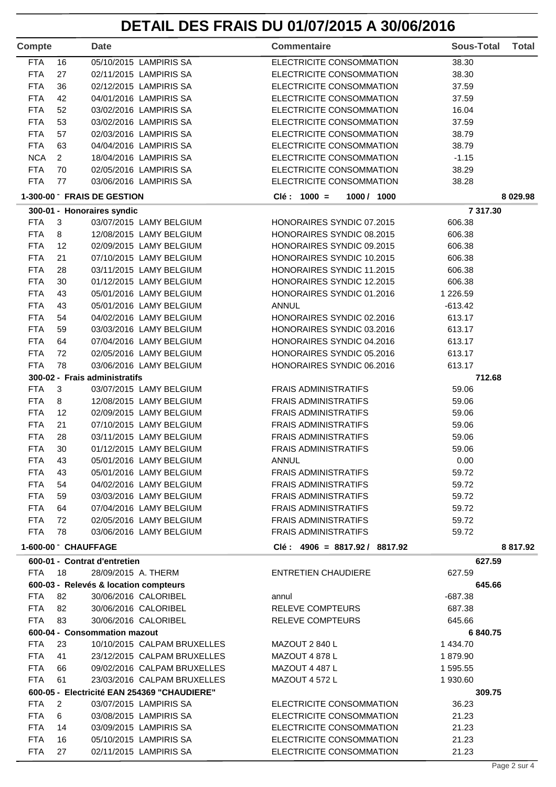# **DETAIL DES FRAIS DU 01/07/2015 A 30/06/2016**

| <b>Compte</b>            |                                 | <b>Date</b>                   |                                                    | <b>Commentaire</b>                                     | <b>Sous-Total</b> | <b>Total</b> |
|--------------------------|---------------------------------|-------------------------------|----------------------------------------------------|--------------------------------------------------------|-------------------|--------------|
| <b>FTA</b>               | 16                              |                               | 05/10/2015 LAMPIRIS SA                             | ELECTRICITE CONSOMMATION                               | 38.30             |              |
| <b>FTA</b>               | 27                              |                               | 02/11/2015 LAMPIRIS SA                             | ELECTRICITE CONSOMMATION                               | 38.30             |              |
| <b>FTA</b>               | 36                              |                               | 02/12/2015 LAMPIRIS SA                             | ELECTRICITE CONSOMMATION                               | 37.59             |              |
| <b>FTA</b>               | 42                              |                               | 04/01/2016 LAMPIRIS SA                             | ELECTRICITE CONSOMMATION                               | 37.59             |              |
| <b>FTA</b>               | 52                              |                               | 03/02/2016 LAMPIRIS SA                             | ELECTRICITE CONSOMMATION                               | 16.04             |              |
| <b>FTA</b>               | 53                              |                               | 03/02/2016 LAMPIRIS SA                             | ELECTRICITE CONSOMMATION                               | 37.59             |              |
| <b>FTA</b>               | 57                              |                               | 02/03/2016 LAMPIRIS SA                             | ELECTRICITE CONSOMMATION                               | 38.79             |              |
| <b>FTA</b>               | 63                              |                               | 04/04/2016 LAMPIRIS SA                             | ELECTRICITE CONSOMMATION                               | 38.79             |              |
| <b>NCA</b>               | $\overline{2}$                  |                               | 18/04/2016 LAMPIRIS SA                             | ELECTRICITE CONSOMMATION                               | $-1.15$           |              |
| <b>FTA</b>               | 70                              |                               | 02/05/2016 LAMPIRIS SA                             | ELECTRICITE CONSOMMATION                               | 38.29             |              |
| <b>FTA</b>               | 77                              |                               | 03/06/2016 LAMPIRIS SA                             | ELECTRICITE CONSOMMATION                               | 38.28             |              |
|                          |                                 | 1-300-00 FRAIS DE GESTION     |                                                    | $Clé: 1000 =$<br>1000 / 1000                           |                   | 8 0 29.98    |
|                          |                                 | 300-01 - Honoraires syndic    |                                                    |                                                        | 7 317.30          |              |
| <b>FTA</b>               | $\mathbf{3}$                    |                               | 03/07/2015 LAMY BELGIUM                            | HONORAIRES SYNDIC 07.2015                              | 606.38            |              |
| <b>FTA</b>               | 8                               |                               | 12/08/2015 LAMY BELGIUM                            | HONORAIRES SYNDIC 08.2015                              | 606.38            |              |
| <b>FTA</b>               | 12                              |                               | 02/09/2015 LAMY BELGIUM                            | HONORAIRES SYNDIC 09.2015                              | 606.38            |              |
| <b>FTA</b>               | 21                              |                               | 07/10/2015 LAMY BELGIUM                            | HONORAIRES SYNDIC 10.2015                              | 606.38            |              |
| <b>FTA</b>               | 28                              |                               | 03/11/2015 LAMY BELGIUM                            | HONORAIRES SYNDIC 11.2015                              | 606.38            |              |
| <b>FTA</b>               | 30                              |                               | 01/12/2015 LAMY BELGIUM                            | HONORAIRES SYNDIC 12.2015                              | 606.38            |              |
| <b>FTA</b>               | 43                              |                               | 05/01/2016 LAMY BELGIUM                            | HONORAIRES SYNDIC 01.2016                              | 1 2 2 6 . 5 9     |              |
| <b>FTA</b>               | 43                              |                               | 05/01/2016 LAMY BELGIUM                            | <b>ANNUL</b>                                           | $-613.42$         |              |
| <b>FTA</b>               | 54                              |                               | 04/02/2016 LAMY BELGIUM                            | HONORAIRES SYNDIC 02.2016                              | 613.17            |              |
| <b>FTA</b>               | 59                              |                               | 03/03/2016 LAMY BELGIUM                            | HONORAIRES SYNDIC 03.2016                              | 613.17            |              |
| <b>FTA</b><br><b>FTA</b> | 64<br>72                        |                               | 07/04/2016 LAMY BELGIUM                            | HONORAIRES SYNDIC 04.2016                              | 613.17            |              |
| <b>FTA</b>               | 78                              |                               | 02/05/2016 LAMY BELGIUM<br>03/06/2016 LAMY BELGIUM | HONORAIRES SYNDIC 05.2016<br>HONORAIRES SYNDIC 06.2016 | 613.17<br>613.17  |              |
|                          |                                 | 300-02 - Frais administratifs |                                                    |                                                        | 712.68            |              |
| <b>FTA</b>               | 3                               |                               | 03/07/2015 LAMY BELGIUM                            | <b>FRAIS ADMINISTRATIFS</b>                            | 59.06             |              |
| <b>FTA</b>               | 8                               |                               | 12/08/2015 LAMY BELGIUM                            | <b>FRAIS ADMINISTRATIFS</b>                            | 59.06             |              |
| <b>FTA</b>               | 12                              |                               | 02/09/2015 LAMY BELGIUM                            | <b>FRAIS ADMINISTRATIFS</b>                            | 59.06             |              |
| <b>FTA</b>               | 21                              |                               | 07/10/2015 LAMY BELGIUM                            | <b>FRAIS ADMINISTRATIFS</b>                            | 59.06             |              |
| <b>FTA</b>               | 28                              |                               | 03/11/2015 LAMY BELGIUM                            | <b>FRAIS ADMINISTRATIFS</b>                            | 59.06             |              |
| <b>FTA</b>               | 30                              |                               | 01/12/2015 LAMY BELGIUM                            | <b>FRAIS ADMINISTRATIFS</b>                            | 59.06             |              |
| <b>FTA</b>               | 43                              |                               | 05/01/2016 LAMY BELGIUM                            | <b>ANNUL</b>                                           | 0.00              |              |
| <b>FTA</b>               | 43                              |                               | 05/01/2016 LAMY BELGIUM                            | <b>FRAIS ADMINISTRATIFS</b>                            | 59.72             |              |
| <b>FTA</b>               | 54                              |                               | 04/02/2016 LAMY BELGIUM                            | <b>FRAIS ADMINISTRATIFS</b>                            | 59.72             |              |
| <b>FTA</b>               | 59                              |                               | 03/03/2016 LAMY BELGIUM                            | <b>FRAIS ADMINISTRATIFS</b>                            | 59.72             |              |
| <b>FTA</b>               | 64                              |                               | 07/04/2016 LAMY BELGIUM                            | <b>FRAIS ADMINISTRATIFS</b>                            | 59.72             |              |
| <b>FTA</b>               | 72                              |                               | 02/05/2016 LAMY BELGIUM                            | <b>FRAIS ADMINISTRATIFS</b>                            | 59.72             |              |
| <b>FTA</b>               | 78                              |                               | 03/06/2016 LAMY BELGIUM                            | <b>FRAIS ADMINISTRATIFS</b>                            | 59.72             |              |
|                          | 1-600-00 <sup>-</sup> CHAUFFAGE |                               |                                                    | $Clé: 4906 = 8817.92 / 8817.92$                        |                   | 8 817.92     |
|                          |                                 | 600-01 - Contrat d'entretien  |                                                    |                                                        | 627.59            |              |
| <b>FTA 18</b>            |                                 | 28/09/2015 A. THERM           |                                                    | <b>ENTRETIEN CHAUDIERE</b>                             | 627.59            |              |
|                          |                                 |                               | 600-03 - Relevés & location compteurs              |                                                        | 645.66            |              |
| <b>FTA</b>               | 82                              |                               | 30/06/2016 CALORIBEL                               | annul                                                  | $-687.38$         |              |
| <b>FTA</b>               | 82                              |                               | 30/06/2016 CALORIBEL                               | RELEVE COMPTEURS                                       | 687.38            |              |
| <b>FTA</b>               | 83                              |                               | 30/06/2016 CALORIBEL                               | RELEVE COMPTEURS                                       | 645.66            |              |
|                          |                                 | 600-04 - Consommation mazout  |                                                    |                                                        | 6840.75           |              |
| <b>FTA</b>               | 23                              |                               | 10/10/2015 CALPAM BRUXELLES                        | MAZOUT 2 840 L                                         | 1 434.70          |              |
| <b>FTA</b>               | 41                              |                               | 23/12/2015 CALPAM BRUXELLES                        | MAZOUT 4 878 L                                         | 1879.90           |              |
| <b>FTA</b>               | 66                              |                               | 09/02/2016 CALPAM BRUXELLES                        | MAZOUT 4 487 L                                         | 1 595.55          |              |
| <b>FTA</b>               | 61                              |                               | 23/03/2016 CALPAM BRUXELLES                        | <b>MAZOUT 4 572 L</b>                                  | 1 930.60          |              |
|                          |                                 |                               | 600-05 - Electricité EAN 254369 "CHAUDIERE"        |                                                        | 309.75            |              |
| <b>FTA</b>               | 2                               |                               | 03/07/2015 LAMPIRIS SA                             | ELECTRICITE CONSOMMATION                               | 36.23             |              |
| <b>FTA</b>               | 6                               |                               | 03/08/2015 LAMPIRIS SA                             | ELECTRICITE CONSOMMATION                               | 21.23             |              |
| <b>FTA</b>               | 14                              |                               | 03/09/2015 LAMPIRIS SA                             | ELECTRICITE CONSOMMATION                               | 21.23             |              |
| <b>FTA</b>               | 16                              |                               | 05/10/2015 LAMPIRIS SA                             | ELECTRICITE CONSOMMATION                               | 21.23             |              |
| <b>FTA</b>               | 27                              |                               | 02/11/2015 LAMPIRIS SA                             | ELECTRICITE CONSOMMATION                               | 21.23             |              |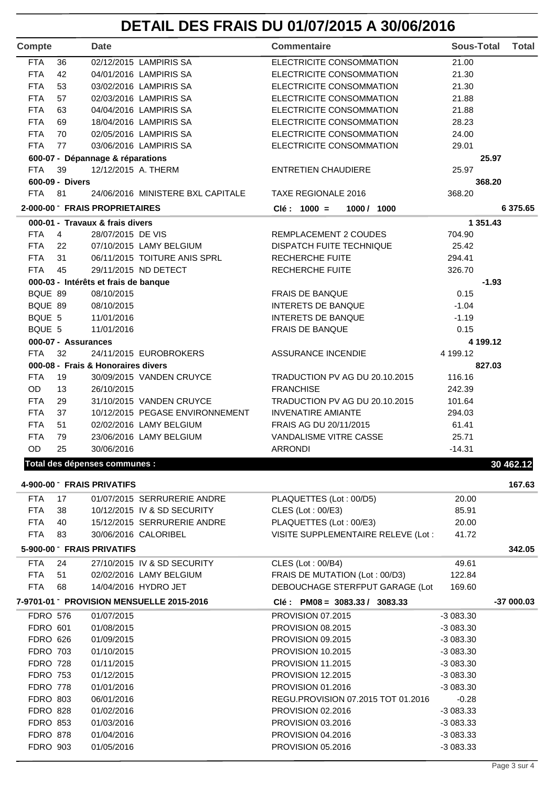# **DETAIL DES FRAIS DU 01/07/2015 A 30/06/2016**

| Compte          |                     | <b>Date</b>                          |                                         | <b>Commentaire</b>                 | <b>Sous-Total</b> | <b>Total</b> |
|-----------------|---------------------|--------------------------------------|-----------------------------------------|------------------------------------|-------------------|--------------|
| <b>FTA</b>      | 36                  |                                      | 02/12/2015 LAMPIRIS SA                  | ELECTRICITE CONSOMMATION           | 21.00             |              |
| <b>FTA</b>      | 42                  |                                      | 04/01/2016 LAMPIRIS SA                  | ELECTRICITE CONSOMMATION           | 21.30             |              |
| <b>FTA</b>      | 53                  |                                      | 03/02/2016 LAMPIRIS SA                  | ELECTRICITE CONSOMMATION           | 21.30             |              |
| <b>FTA</b>      | 57                  |                                      | 02/03/2016 LAMPIRIS SA                  | ELECTRICITE CONSOMMATION           | 21.88             |              |
| <b>FTA</b>      | 63                  |                                      | 04/04/2016 LAMPIRIS SA                  | ELECTRICITE CONSOMMATION           | 21.88             |              |
| <b>FTA</b>      | 69                  |                                      | 18/04/2016 LAMPIRIS SA                  | ELECTRICITE CONSOMMATION           | 28.23             |              |
| <b>FTA</b>      | 70                  |                                      | 02/05/2016 LAMPIRIS SA                  | ELECTRICITE CONSOMMATION           | 24.00             |              |
| <b>FTA</b>      | 77                  |                                      | 03/06/2016 LAMPIRIS SA                  | ELECTRICITE CONSOMMATION           | 29.01             |              |
|                 |                     | 600-07 - Dépannage & réparations     |                                         |                                    | 25.97             |              |
| <b>FTA</b>      | 39                  | 12/12/2015 A. THERM                  |                                         | <b>ENTRETIEN CHAUDIERE</b>         | 25.97             |              |
|                 | 600-09 - Divers     |                                      |                                         |                                    | 368.20            |              |
| <b>FTA</b>      | 81                  |                                      | 24/06/2016 MINISTERE BXL CAPITALE       | TAXE REGIONALE 2016                | 368.20            |              |
|                 |                     | 2-000-00 FRAIS PROPRIETAIRES         |                                         | $Clé: 1000 =$<br>1000 / 1000       |                   | 6 375.65     |
|                 |                     |                                      |                                         |                                    |                   |              |
|                 |                     | 000-01 - Travaux & frais divers      |                                         |                                    | 1 351.43          |              |
| <b>FTA</b>      | $\overline{4}$      | 28/07/2015 DE VIS                    |                                         | REMPLACEMENT 2 COUDES              | 704.90            |              |
| <b>FTA</b>      | 22                  |                                      | 07/10/2015 LAMY BELGIUM                 | DISPATCH FUITE TECHNIQUE           | 25.42             |              |
| <b>FTA</b>      | 31                  |                                      | 06/11/2015 TOITURE ANIS SPRL            | RECHERCHE FUITE                    | 294.41            |              |
| <b>FTA</b>      | 45                  |                                      | 29/11/2015 ND DETECT                    | RECHERCHE FUITE                    | 326.70            |              |
|                 |                     | 000-03 - Intérêts et frais de banque |                                         |                                    | $-1.93$           |              |
| BQUE 89         |                     | 08/10/2015                           |                                         | <b>FRAIS DE BANQUE</b>             | 0.15              |              |
| BQUE 89         |                     | 08/10/2015                           |                                         | <b>INTERETS DE BANQUE</b>          | $-1.04$           |              |
| BQUE 5          |                     | 11/01/2016                           |                                         | <b>INTERETS DE BANQUE</b>          | $-1.19$           |              |
| BQUE 5          |                     | 11/01/2016                           |                                         | <b>FRAIS DE BANQUE</b>             | 0.15              |              |
|                 | 000-07 - Assurances |                                      |                                         |                                    | 4 199.12          |              |
| <b>FTA</b>      | 32                  |                                      | 24/11/2015 EUROBROKERS                  | <b>ASSURANCE INCENDIE</b>          | 4 199.12          |              |
|                 |                     | 000-08 - Frais & Honoraires divers   |                                         |                                    | 827.03            |              |
| <b>FTA</b>      | 19                  |                                      | 30/09/2015 VANDEN CRUYCE                | TRADUCTION PV AG DU 20.10.2015     | 116.16            |              |
| <b>OD</b>       | 13                  | 26/10/2015                           |                                         | <b>FRANCHISE</b>                   | 242.39            |              |
| <b>FTA</b>      | 29                  |                                      | 31/10/2015 VANDEN CRUYCE                | TRADUCTION PV AG DU 20.10.2015     | 101.64            |              |
| <b>FTA</b>      | 37                  |                                      | 10/12/2015 PEGASE ENVIRONNEMENT         | <b>INVENATIRE AMIANTE</b>          | 294.03            |              |
| <b>FTA</b>      | 51                  |                                      | 02/02/2016 LAMY BELGIUM                 | FRAIS AG DU 20/11/2015             | 61.41             |              |
| <b>FTA</b>      | 79                  |                                      | 23/06/2016 LAMY BELGIUM                 | VANDALISME VITRE CASSE             | 25.71             |              |
| OD              | 25                  |                                      |                                         |                                    |                   |              |
|                 |                     | 30/06/2016                           |                                         | <b>ARRONDI</b>                     | $-14.31$          |              |
|                 |                     | Total des dépenses communes :        |                                         |                                    |                   | 30 462.12    |
|                 |                     | 4-900-00 FRAIS PRIVATIFS             |                                         |                                    |                   | 167.63       |
| <b>FTA</b>      | 17                  |                                      | 01/07/2015 SERRURERIE ANDRE             | PLAQUETTES (Lot: 00/D5)            | 20.00             |              |
| <b>FTA</b>      | 38                  |                                      | 10/12/2015 IV & SD SECURITY             | CLES (Lot: 00/E3)                  | 85.91             |              |
| <b>FTA</b>      | 40                  |                                      | 15/12/2015 SERRURERIE ANDRE             | PLAQUETTES (Lot: 00/E3)            | 20.00             |              |
| <b>FTA</b>      | 83                  |                                      | 30/06/2016 CALORIBEL                    | VISITE SUPPLEMENTAIRE RELEVE (Lot: | 41.72             |              |
|                 |                     | 5-900-00 FRAIS PRIVATIFS             |                                         |                                    |                   | 342.05       |
|                 |                     |                                      |                                         |                                    |                   |              |
| <b>FTA</b>      | 24                  |                                      | 27/10/2015 IV & SD SECURITY             | CLES (Lot: 00/B4)                  | 49.61             |              |
| <b>FTA</b>      | 51                  |                                      | 02/02/2016 LAMY BELGIUM                 | FRAIS DE MUTATION (Lot : 00/D3)    | 122.84            |              |
| <b>FTA</b>      | 68                  |                                      | 14/04/2016 HYDRO JET                    | DEBOUCHAGE STERFPUT GARAGE (Lot    | 169.60            |              |
|                 |                     |                                      | 7-9701-01 PROVISION MENSUELLE 2015-2016 | $Clé: PMO8 = 3083.33 / 3083.33$    |                   | $-37000.03$  |
| <b>FDRO 576</b> |                     | 01/07/2015                           |                                         | <b>PROVISION 07.2015</b>           | $-3083.30$        |              |
| <b>FDRO 601</b> |                     | 01/08/2015                           |                                         | <b>PROVISION 08.2015</b>           | $-3083.30$        |              |
| <b>FDRO 626</b> |                     | 01/09/2015                           |                                         | <b>PROVISION 09.2015</b>           | $-3083.30$        |              |
| <b>FDRO 703</b> |                     | 01/10/2015                           |                                         | <b>PROVISION 10.2015</b>           | $-3083.30$        |              |
| <b>FDRO 728</b> |                     | 01/11/2015                           |                                         | PROVISION 11.2015                  | $-3083.30$        |              |
| <b>FDRO 753</b> |                     | 01/12/2015                           |                                         | PROVISION 12.2015                  | -3 083.30         |              |
| <b>FDRO 778</b> |                     | 01/01/2016                           |                                         | <b>PROVISION 01.2016</b>           | $-3083.30$        |              |
| <b>FDRO 803</b> |                     | 06/01/2016                           |                                         | REGU.PROVISION 07.2015 TOT 01.2016 | $-0.28$           |              |
|                 |                     |                                      |                                         |                                    |                   |              |
| <b>FDRO 828</b> |                     | 01/02/2016                           |                                         | PROVISION 02.2016                  | $-3083.33$        |              |
| <b>FDRO 853</b> |                     | 01/03/2016                           |                                         | PROVISION 03.2016                  | $-3083.33$        |              |
| <b>FDRO 878</b> |                     | 01/04/2016                           |                                         | PROVISION 04.2016                  | $-3083.33$        |              |
| <b>FDRO 903</b> |                     | 01/05/2016                           |                                         | PROVISION 05.2016                  | $-3083.33$        |              |